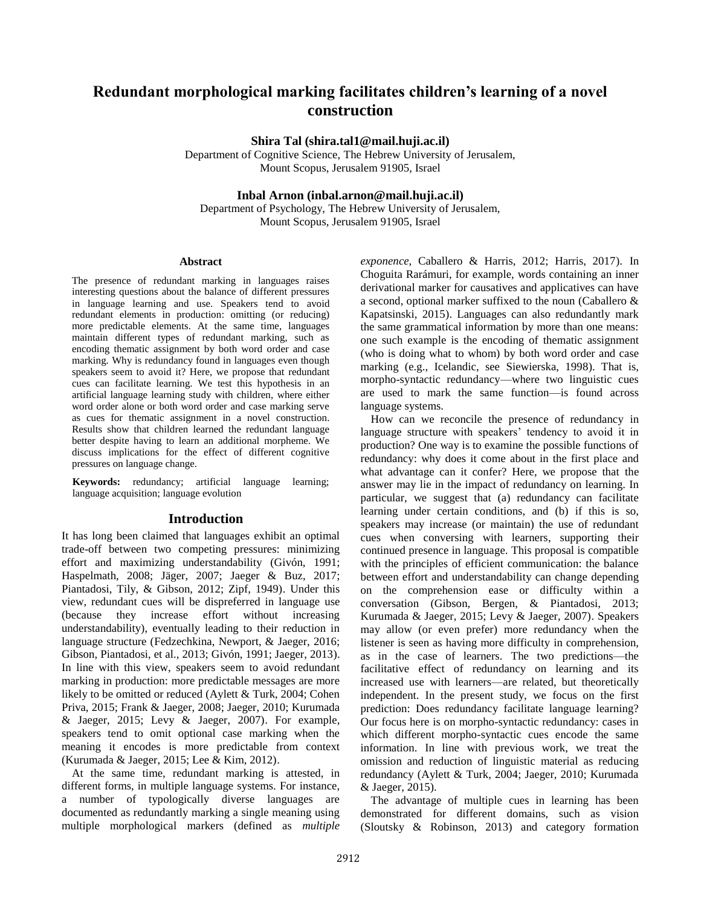# **Redundant morphological marking facilitates children's learning of a novel construction**

**Shira Tal (shira.tal1@mail.huji.ac.il)**

Department of Cognitive Science, The Hebrew University of Jerusalem, Mount Scopus, Jerusalem 91905, Israel

### **Inbal Arnon (inbal.arnon@mail.huji.ac.il)**

Department of Psychology, The Hebrew University of Jerusalem, Mount Scopus, Jerusalem 91905, Israel

#### **Abstract**

The presence of redundant marking in languages raises interesting questions about the balance of different pressures in language learning and use. Speakers tend to avoid redundant elements in production: omitting (or reducing) more predictable elements. At the same time, languages maintain different types of redundant marking, such as encoding thematic assignment by both word order and case marking. Why is redundancy found in languages even though speakers seem to avoid it? Here, we propose that redundant cues can facilitate learning. We test this hypothesis in an artificial language learning study with children, where either word order alone or both word order and case marking serve as cues for thematic assignment in a novel construction. Results show that children learned the redundant language better despite having to learn an additional morpheme. We discuss implications for the effect of different cognitive pressures on language change.

**Keywords:** redundancy; artificial language learning; language acquisition; language evolution

### **Introduction**

It has long been claimed that languages exhibit an optimal trade-off between two competing pressures: minimizing effort and maximizing understandability (Givón, 1991; Haspelmath, 2008; Jäger, 2007; Jaeger & Buz, 2017; Piantadosi, Tily, & Gibson, 2012; Zipf, 1949). Under this view, redundant cues will be dispreferred in language use (because they increase effort without increasing understandability), eventually leading to their reduction in language structure (Fedzechkina, Newport, & Jaeger, 2016; Gibson, Piantadosi, et al., 2013; Givón, 1991; Jaeger, 2013). In line with this view, speakers seem to avoid redundant marking in production: more predictable messages are more likely to be omitted or reduced (Aylett & Turk, 2004; Cohen Priva, 2015; Frank & Jaeger, 2008; Jaeger, 2010; Kurumada & Jaeger, 2015; Levy & Jaeger, 2007). For example, speakers tend to omit optional case marking when the meaning it encodes is more predictable from context (Kurumada & Jaeger, 2015; Lee & Kim, 2012).

At the same time, redundant marking is attested, in different forms, in multiple language systems. For instance, a number of typologically diverse languages are documented as redundantly marking a single meaning using multiple morphological markers (defined as *multiple* 

*exponence*, Caballero & Harris, 2012; Harris, 2017). In Choguita Rarámuri, for example, words containing an inner derivational marker for causatives and applicatives can have a second, optional marker suffixed to the noun (Caballero & Kapatsinski, 2015). Languages can also redundantly mark the same grammatical information by more than one means: one such example is the encoding of thematic assignment (who is doing what to whom) by both word order and case marking (e.g., Icelandic, see Siewierska, 1998). That is, morpho-syntactic redundancy—where two linguistic cues are used to mark the same function—is found across language systems.

How can we reconcile the presence of redundancy in language structure with speakers' tendency to avoid it in production? One way is to examine the possible functions of redundancy: why does it come about in the first place and what advantage can it confer? Here, we propose that the answer may lie in the impact of redundancy on learning. In particular, we suggest that (a) redundancy can facilitate learning under certain conditions, and (b) if this is so, speakers may increase (or maintain) the use of redundant cues when conversing with learners, supporting their continued presence in language. This proposal is compatible with the principles of efficient communication: the balance between effort and understandability can change depending on the comprehension ease or difficulty within a conversation (Gibson, Bergen, & Piantadosi, 2013; Kurumada & Jaeger, 2015; Levy & Jaeger, 2007). Speakers may allow (or even prefer) more redundancy when the listener is seen as having more difficulty in comprehension, as in the case of learners. The two predictions—the facilitative effect of redundancy on learning and its increased use with learners—are related, but theoretically independent. In the present study, we focus on the first prediction: Does redundancy facilitate language learning? Our focus here is on morpho-syntactic redundancy: cases in which different morpho-syntactic cues encode the same information. In line with previous work, we treat the omission and reduction of linguistic material as reducing redundancy (Aylett & Turk, 2004; Jaeger, 2010; Kurumada & Jaeger, 2015).

The advantage of multiple cues in learning has been demonstrated for different domains, such as vision (Sloutsky & Robinson, 2013) and category formation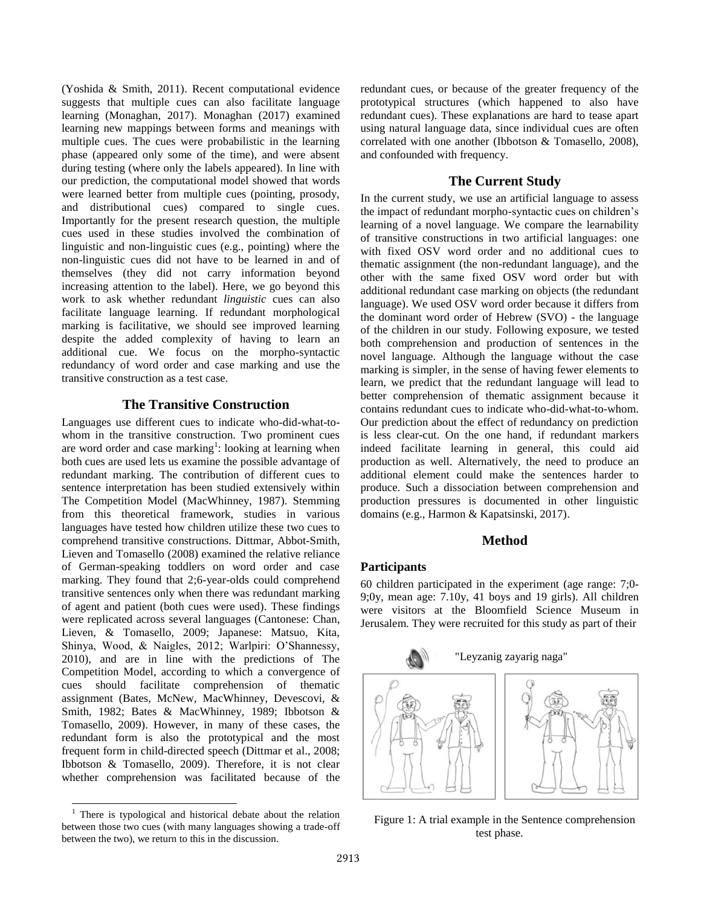(Yoshida & Smith, 2011). Recent computational evidence suggests that multiple cues can also facilitate language learning (Monaghan, 2017). Monaghan (2017) examined learning new mappings between forms and meanings with multiple cues. The cues were probabilistic in the learning phase (appeared only some of the time), and were absent during testing (where only the labels appeared). In line with our prediction, the computational model showed that words were learned better from multiple cues (pointing, prosody, and distributional cues) compared to single cues. Importantly for the present research question, the multiple cues used in these studies involved the combination of linguistic and non-linguistic cues (e.g., pointing) where the non-linguistic cues did not have to be learned in and of themselves (they did not carry information beyond increasing attention to the label). Here, we go beyond this work to ask whether redundant *linguistic* cues can also facilitate language learning. If redundant morphological marking is facilitative, we should see improved learning despite the added complexity of having to learn an additional cue. We focus on the morpho-syntactic redundancy of word order and case marking and use the transitive construction as a test case.

# **The Transitive Construction**

Languages use different cues to indicate who-did-what-towhom in the transitive construction. Two prominent cues are word order and case marking<sup>1</sup>: looking at learning when both cues are used lets us examine the possible advantage of redundant marking. The contribution of different cues to sentence interpretation has been studied extensively within The Competition Model (MacWhinney, 1987). Stemming from this theoretical framework, studies in various languages have tested how children utilize these two cues to comprehend transitive constructions. Dittmar, Abbot-Smith, Lieven and Tomasello (2008) examined the relative reliance of German-speaking toddlers on word order and case marking. They found that 2;6-year-olds could comprehend transitive sentences only when there was redundant marking of agent and patient (both cues were used). These findings were replicated across several languages (Cantonese: Chan, Lieven, & Tomasello, 2009; Japanese: Matsuo, Kita, Shinya, Wood, & Naigles, 2012; Warlpiri: O'Shannessy, 2010), and are in line with the predictions of The Competition Model, according to which a convergence of cues should facilitate comprehension of thematic assignment (Bates, McNew, MacWhinney, Devescovi, & Smith, 1982; Bates & MacWhinney, 1989; Ibbotson & Tomasello, 2009). However, in many of these cases, the redundant form is also the prototypical and the most frequent form in child-directed speech (Dittmar et al., 2008; Ibbotson & Tomasello, 2009). Therefore, it is not clear whether comprehension was facilitated because of the

 $1$  There is typological and historical debate about the relation between those two cues (with many languages showing a trade-off between the two), we return to this in the discussion.

l

redundant cues, or because of the greater frequency of the prototypical structures (which happened to also have redundant cues). These explanations are hard to tease apart using natural language data, since individual cues are often correlated with one another (Ibbotson & Tomasello, 2008), and confounded with frequency.

# **The Current Study**

In the current study, we use an artificial language to assess the impact of redundant morpho-syntactic cues on children's learning of a novel language. We compare the learnability of transitive constructions in two artificial languages: one with fixed OSV word order and no additional cues to thematic assignment (the non-redundant language), and the other with the same fixed OSV word order but with additional redundant case marking on objects (the redundant language). We used OSV word order because it differs from the dominant word order of Hebrew (SVO) - the language of the children in our study. Following exposure, we tested both comprehension and production of sentences in the novel language. Although the language without the case marking is simpler, in the sense of having fewer elements to learn, we predict that the redundant language will lead to better comprehension of thematic assignment because it contains redundant cues to indicate who-did-what-to-whom. Our prediction about the effect of redundancy on prediction is less clear-cut. On the one hand, if redundant markers indeed facilitate learning in general, this could aid production as well. Alternatively, the need to produce an additional element could make the sentences harder to produce. Such a dissociation between comprehension and production pressures is documented in other linguistic domains (e.g., Harmon & Kapatsinski, 2017).

# **Method**

# **Participants**

60 children participated in the experiment (age range: 7;0- 9;0y, mean age: 7.10y, 41 boys and 19 girls). All children were visitors at the Bloomfield Science Museum in Jerusalem. They were recruited for this study as part of their



Figure 1: A trial example in the Sentence comprehension test phase.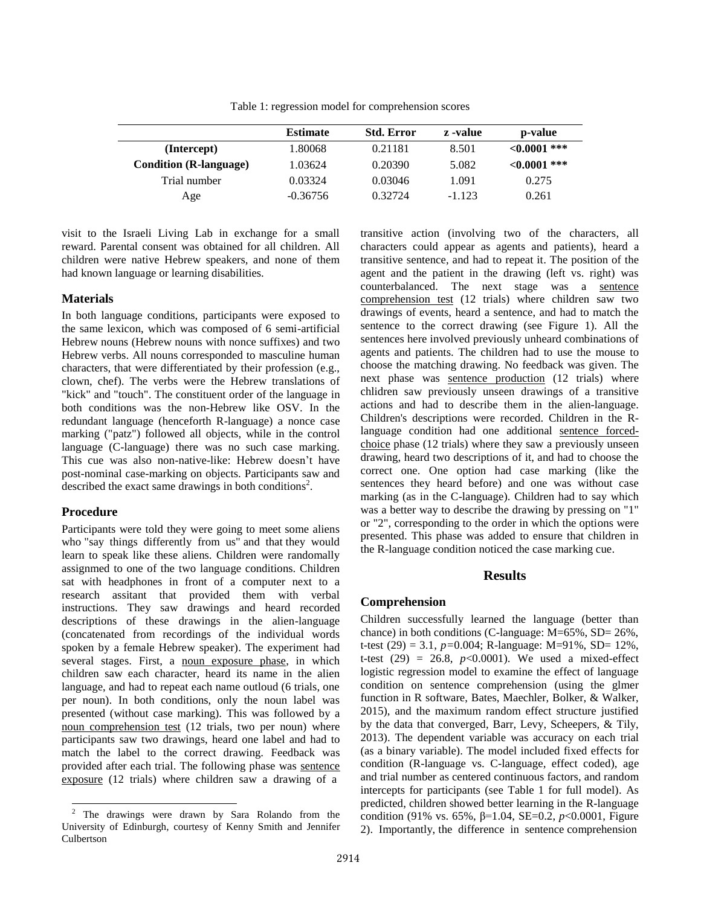Table 1: regression model for comprehension scores

|                               | <b>Estimate</b> | <b>Std. Error</b> | z -value | p-value           |
|-------------------------------|-----------------|-------------------|----------|-------------------|
| (Intercept)                   | 1.80068         | 0.21181           | 8.501    | $<\!\!0.0001$ *** |
| <b>Condition</b> (R-language) | 1.03624         | 0.20390           | 5.082    | ${<}0.0001$ ***   |
| Trial number                  | 0.03324         | 0.03046           | 1.091    | 0.275             |
| Age                           | $-0.36756$      | 0.32724           | $-1.123$ | 0.261             |

visit to the Israeli Living Lab in exchange for a small reward. Parental consent was obtained for all children. All children were native Hebrew speakers, and none of them had known language or learning disabilities.

#### **Materials**

In both language conditions, participants were exposed to the same lexicon, which was composed of 6 semi-artificial Hebrew nouns (Hebrew nouns with nonce suffixes) and two Hebrew verbs. All nouns corresponded to masculine human characters, that were differentiated by their profession (e.g., clown, chef). The verbs were the Hebrew translations of "kick" and "touch". The constituent order of the language in both conditions was the non-Hebrew like OSV. In the redundant language (henceforth R-language) a nonce case marking ("patz") followed all objects, while in the control language (C-language) there was no such case marking. This cue was also non-native-like: Hebrew doesn't have post-nominal case-marking on objects. Participants saw and described the exact same drawings in both conditions<sup>2</sup>.

#### **Procedure**

l

Participants were told they were going to meet some aliens who "say things differently from us" and that they would learn to speak like these aliens. Children were randomally assignmed to one of the two language conditions. Children sat with headphones in front of a computer next to a research assitant that provided them with verbal instructions. They saw drawings and heard recorded descriptions of these drawings in the alien-language (concatenated from recordings of the individual words spoken by a female Hebrew speaker). The experiment had several stages. First, a noun exposure phase, in which children saw each character, heard its name in the alien language, and had to repeat each name outloud (6 trials, one per noun). In both conditions, only the noun label was presented (without case marking). This was followed by a noun comprehension test (12 trials, two per noun) where participants saw two drawings, heard one label and had to match the label to the correct drawing. Feedback was provided after each trial. The following phase was sentence exposure (12 trials) where children saw a drawing of a

transitive action (involving two of the characters, all characters could appear as agents and patients), heard a transitive sentence, and had to repeat it. The position of the agent and the patient in the drawing (left vs. right) was counterbalanced. The next stage was a sentence comprehension test (12 trials) where children saw two drawings of events, heard a sentence, and had to match the sentence to the correct drawing (see Figure 1). All the sentences here involved previously unheard combinations of agents and patients. The children had to use the mouse to choose the matching drawing. No feedback was given. The next phase was sentence production (12 trials) where chlidren saw previously unseen drawings of a transitive actions and had to describe them in the alien-language. Children's descriptions were recorded. Children in the Rlanguage condition had one additional sentence forcedchoice phase (12 trials) where they saw a previously unseen drawing, heard two descriptions of it, and had to choose the correct one. One option had case marking (like the sentences they heard before) and one was without case marking (as in the C-language). Children had to say which was a better way to describe the drawing by pressing on "1" or "2", corresponding to the order in which the options were presented. This phase was added to ensure that children in the R-language condition noticed the case marking cue.

#### **Results**

### **Comprehension**

Children successfully learned the language (better than chance) in both conditions (C-language: M=65%, SD= 26%, t-test (29) = 3.1, *p=*0.004; R-language: M=91%, SD= 12%, t-test (29) = 26.8,  $p<0.0001$ ). We used a mixed-effect logistic regression model to examine the effect of language condition on sentence comprehension (using the glmer function in R software, Bates, Maechler, Bolker, & Walker, 2015), and the maximum random effect structure justified by the data that converged, Barr, Levy, Scheepers, & Tily, 2013). The dependent variable was accuracy on each trial (as a binary variable). The model included fixed effects for condition (R-language vs. C-language, effect coded), age and trial number as centered continuous factors, and random intercepts for participants (see Table 1 for full model). As predicted, children showed better learning in the R-language condition (91% vs. 65%, β=1.04, SE=0.2, *p*<0.0001, Figure 2). Importantly, the difference in sentence comprehension

<sup>&</sup>lt;sup>2</sup> The drawings were drawn by Sara Rolando from the University of Edinburgh, courtesy of Kenny Smith and Jennifer Culbertson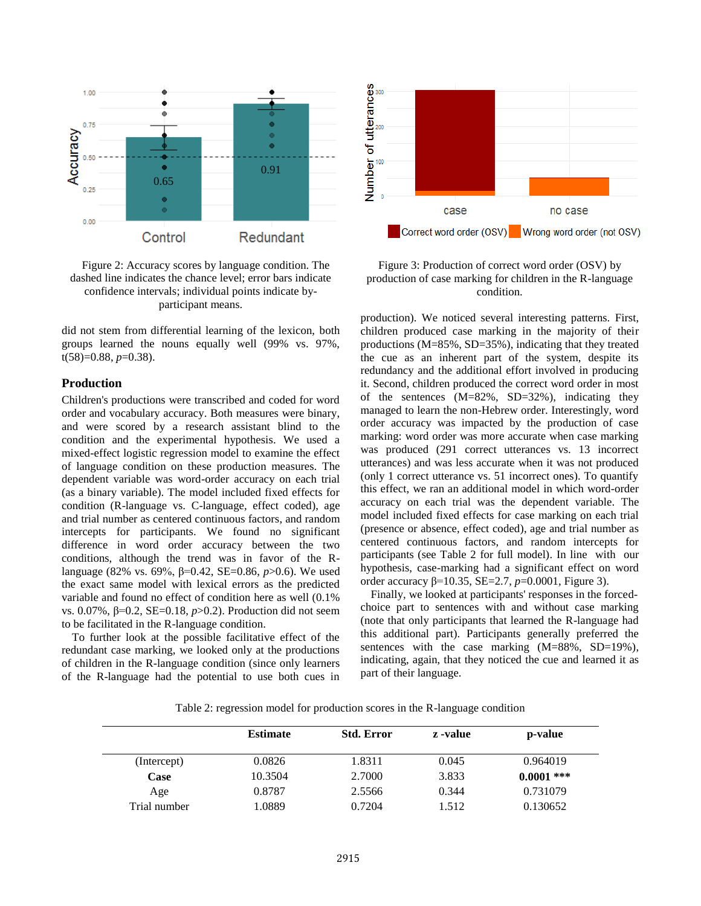

Figure 2: Accuracy scores by language condition. The dashed line indicates the chance level; error bars indicate confidence intervals; individual points indicate byparticipant means.

did not stem from differential learning of the lexicon, both groups learned the nouns equally well (99% vs. 97%, t(58)=0.88, *p*=0.38).

### **Production**

Children's productions were transcribed and coded for word order and vocabulary accuracy. Both measures were binary, and were scored by a research assistant blind to the condition and the experimental hypothesis. We used a mixed-effect logistic regression model to examine the effect of language condition on these production measures. The dependent variable was word-order accuracy on each trial (as a binary variable). The model included fixed effects for condition (R-language vs. C-language, effect coded), age and trial number as centered continuous factors, and random intercepts for participants. We found no significant difference in word order accuracy between the two conditions, although the trend was in favor of the Rlanguage (82% vs. 69%, β=0.42, SE=0.86, *p*>0.6). We used the exact same model with lexical errors as the predicted variable and found no effect of condition here as well (0.1% vs. 0.07%, β=0.2, SE=0.18, *p*>0.2). Production did not seem to be facilitated in the R-language condition.

To further look at the possible facilitative effect of the redundant case marking, we looked only at the productions of children in the R-language condition (since only learners of the R-language had the potential to use both cues in



Figure 3: Production of correct word order (OSV) by production of case marking for children in the R-language condition.

production). We noticed several interesting patterns. First, children produced case marking in the majority of their productions (M=85%, SD=35%), indicating that they treated the cue as an inherent part of the system, despite its redundancy and the additional effort involved in producing it. Second, children produced the correct word order in most of the sentences (M=82%, SD=32%), indicating they managed to learn the non-Hebrew order. Interestingly, word order accuracy was impacted by the production of case marking: word order was more accurate when case marking was produced (291 correct utterances vs. 13 incorrect utterances) and was less accurate when it was not produced (only 1 correct utterance vs. 51 incorrect ones). To quantify this effect, we ran an additional model in which word-order accuracy on each trial was the dependent variable. The model included fixed effects for case marking on each trial (presence or absence, effect coded), age and trial number as centered continuous factors, and random intercepts for participants (see Table 2 for full model). In line with our hypothesis, case-marking had a significant effect on word order accuracy β=10.35, SE=2.7, *p*=0.0001, Figure 3).

Finally, we looked at participants' responses in the forcedchoice part to sentences with and without case marking (note that only participants that learned the R-language had this additional part). Participants generally preferred the sentences with the case marking  $(M=88\%, SD=19\%),$ indicating, again, that they noticed the cue and learned it as part of their language.

Table 2: regression model for production scores in the R-language condition

|              | <b>Estimate</b> | <b>Std. Error</b> | z -value | p-value      |
|--------------|-----------------|-------------------|----------|--------------|
| (Intercept)  | 0.0826          | 1.8311            | 0.045    | 0.964019     |
| Case         | 10.3504         | 2.7000            | 3.833    | $0.0001$ *** |
| Age          | 0.8787          | 2.5566            | 0.344    | 0.731079     |
| Trial number | 1.0889          | 0.7204            | 1.512    | 0.130652     |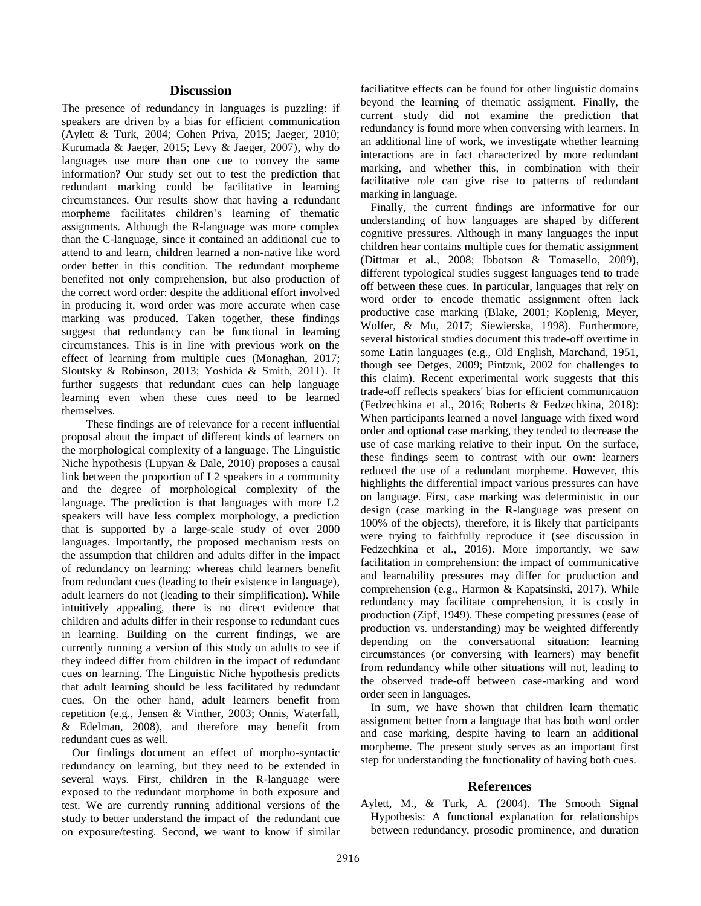#### **Discussion**

The presence of redundancy in languages is puzzling: if speakers are driven by a bias for efficient communication (Aylett & Turk, 2004; Cohen Priva, 2015; Jaeger, 2010; Kurumada & Jaeger, 2015; Levy & Jaeger, 2007), why do languages use more than one cue to convey the same information? Our study set out to test the prediction that redundant marking could be facilitative in learning circumstances. Our results show that having a redundant morpheme facilitates children's learning of thematic assignments. Although the R-language was more complex than the C-language, since it contained an additional cue to attend to and learn, children learned a non-native like word order better in this condition. The redundant morpheme benefited not only comprehension, but also production of the correct word order: despite the additional effort involved in producing it, word order was more accurate when case marking was produced. Taken together, these findings suggest that redundancy can be functional in learning circumstances. This is in line with previous work on the effect of learning from multiple cues (Monaghan, 2017; Sloutsky & Robinson, 2013; Yoshida & Smith, 2011). It further suggests that redundant cues can help language learning even when these cues need to be learned themselves.

These findings are of relevance for a recent influential proposal about the impact of different kinds of learners on the morphological complexity of a language. The Linguistic Niche hypothesis (Lupyan & Dale, 2010) proposes a causal link between the proportion of L2 speakers in a community and the degree of morphological complexity of the language. The prediction is that languages with more L2 speakers will have less complex morphology, a prediction that is supported by a large-scale study of over 2000 languages. Importantly, the proposed mechanism rests on the assumption that children and adults differ in the impact of redundancy on learning: whereas child learners benefit from redundant cues (leading to their existence in language), adult learners do not (leading to their simplification). While intuitively appealing, there is no direct evidence that children and adults differ in their response to redundant cues in learning. Building on the current findings, we are currently running a version of this study on adults to see if they indeed differ from children in the impact of redundant cues on learning. The Linguistic Niche hypothesis predicts that adult learning should be less facilitated by redundant cues. On the other hand, adult learners benefit from repetition (e.g., Jensen & Vinther, 2003; Onnis, Waterfall, & Edelman, 2008), and therefore may benefit from redundant cues as well.

Our findings document an effect of morpho-syntactic redundancy on learning, but they need to be extended in several ways. First, children in the R-language were exposed to the redundant morphome in both exposure and test. We are currently running additional versions of the study to better understand the impact of the redundant cue on exposure/testing. Second, we want to know if similar faciliatitve effects can be found for other linguistic domains beyond the learning of thematic assigment. Finally, the current study did not examine the prediction that redundancy is found more when conversing with learners. In an additional line of work, we investigate whether learning interactions are in fact characterized by more redundant marking, and whether this, in combination with their facilitative role can give rise to patterns of redundant marking in language.

Finally, the current findings are informative for our understanding of how languages are shaped by different cognitive pressures. Although in many languages the input children hear contains multiple cues for thematic assignment (Dittmar et al., 2008; Ibbotson & Tomasello, 2009), different typological studies suggest languages tend to trade off between these cues. In particular, languages that rely on word order to encode thematic assignment often lack productive case marking (Blake, 2001; Koplenig, Meyer, Wolfer, & Mu, 2017; Siewierska, 1998). Furthermore, several historical studies document this trade-off overtime in some Latin languages (e.g., Old English, Marchand, 1951, though see Detges, 2009; Pintzuk, 2002 for challenges to this claim). Recent experimental work suggests that this trade-off reflects speakers' bias for efficient communication (Fedzechkina et al., 2016; Roberts & Fedzechkina, 2018): When participants learned a novel language with fixed word order and optional case marking, they tended to decrease the use of case marking relative to their input. On the surface, these findings seem to contrast with our own: learners reduced the use of a redundant morpheme. However, this highlights the differential impact various pressures can have on language. First, case marking was deterministic in our design (case marking in the R-language was present on 100% of the objects), therefore, it is likely that participants were trying to faithfully reproduce it (see discussion in Fedzechkina et al., 2016). More importantly, we saw facilitation in comprehension: the impact of communicative and learnability pressures may differ for production and comprehension (e.g., Harmon & Kapatsinski, 2017). While redundancy may facilitate comprehension, it is costly in production (Zipf, 1949). These competing pressures (ease of production vs. understanding) may be weighted differently depending on the conversational situation: learning circumstances (or conversing with learners) may benefit from redundancy while other situations will not, leading to the observed trade-off between case-marking and word order seen in languages.

In sum, we have shown that children learn thematic assignment better from a language that has both word order and case marking, despite having to learn an additional morpheme. The present study serves as an important first step for understanding the functionality of having both cues.

#### **References**

Aylett, M., & Turk, A. (2004). The Smooth Signal Hypothesis: A functional explanation for relationships between redundancy, prosodic prominence, and duration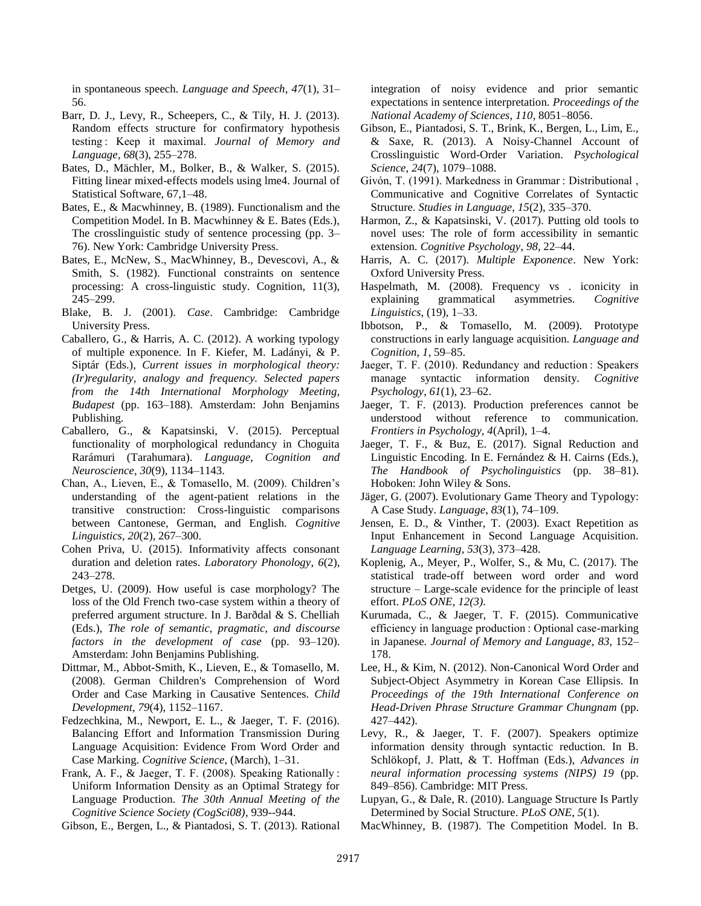in spontaneous speech. *Language and Speech*, *47*(1), 31– 56.

- Barr, D. J., Levy, R., Scheepers, C., & Tily, H. J. (2013). Random effects structure for confirmatory hypothesis testing : Keep it maximal. *Journal of Memory and Language*, *68*(3), 255–278.
- Bates, D., Mächler, M., Bolker, B., & Walker, S. (2015). Fitting linear mixed-effects models using lme4. Journal of Statistical Software, 67,1–48.
- Bates, E., & Macwhinney, B. (1989). Functionalism and the Competition Model. In B. Macwhinney & E. Bates (Eds.), The crosslinguistic study of sentence processing (pp. 3– 76). New York: Cambridge University Press.
- Bates, E., McNew, S., MacWhinney, B., Devescovi, A., & Smith, S. (1982). Functional constraints on sentence processing: A cross-linguistic study. Cognition, 11(3), 245–299.
- Blake, B. J. (2001). *Case*. Cambridge: Cambridge University Press.
- Caballero, G., & Harris, A. C. (2012). A working typology of multiple exponence. In F. Kiefer, M. Ladányi, & P. Siptár (Eds.), *Current issues in morphological theory: (Ir)regularity, analogy and frequency. Selected papers from the 14th International Morphology Meeting, Budapest* (pp. 163–188). Amsterdam: John Benjamins Publishing.
- Caballero, G., & Kapatsinski, V. (2015). Perceptual functionality of morphological redundancy in Choguita Rarámuri (Tarahumara). *Language, Cognition and Neuroscience*, *30*(9), 1134–1143.
- Chan, A., Lieven, E., & Tomasello, M. (2009). Children's understanding of the agent-patient relations in the transitive construction: Cross-linguistic comparisons between Cantonese, German, and English. *Cognitive Linguistics*, *20*(2), 267–300.
- Cohen Priva, U. (2015). Informativity affects consonant duration and deletion rates. *Laboratory Phonology*, *6*(2), 243–278.
- Detges, U. (2009). How useful is case morphology? The loss of the Old French two-case system within a theory of preferred argument structure. In J. Barðdal & S. Chelliah (Eds.), *The role of semantic, pragmatic, and discourse factors in the development of case* (pp. 93–120). Amsterdam: John Benjamins Publishing.
- Dittmar, M., Abbot-Smith, K., Lieven, E., & Tomasello, M. (2008). German Children's Comprehension of Word Order and Case Marking in Causative Sentences. *Child Development*, *79*(4), 1152–1167.
- Fedzechkina, M., Newport, E. L., & Jaeger, T. F. (2016). Balancing Effort and Information Transmission During Language Acquisition: Evidence From Word Order and Case Marking. *Cognitive Science*, (March), 1–31.
- Frank, A. F., & Jaeger, T. F. (2008). Speaking Rationally : Uniform Information Density as an Optimal Strategy for Language Production. *The 30th Annual Meeting of the Cognitive Science Society (CogSci08)*, 939--944.
- Gibson, E., Bergen, L., & Piantadosi, S. T. (2013). Rational

integration of noisy evidence and prior semantic expectations in sentence interpretation. *Proceedings of the National Academy of Sciences*, *110*, 8051–8056.

- Gibson, E., Piantadosi, S. T., Brink, K., Bergen, L., Lim, E., & Saxe, R. (2013). A Noisy-Channel Account of Crosslinguistic Word-Order Variation. *Psychological Science*, *24*(7), 1079–1088.
- Givón, T. (1991). Markedness in Grammar : Distributional , Communicative and Cognitive Correlates of Syntactic Structure. *Studies in Language*, *15*(2), 335–370.
- Harmon, Z., & Kapatsinski, V. (2017). Putting old tools to novel uses: The role of form accessibility in semantic extension. *Cognitive Psychology*, *98*, 22–44.
- Harris, A. C. (2017). *Multiple Exponence*. New York: Oxford University Press.
- Haspelmath, M. (2008). Frequency vs . iconicity in explaining grammatical asymmetries. *Cognitive Linguistics*, (19), 1–33.
- Ibbotson, P., & Tomasello, M. (2009). Prototype constructions in early language acquisition. *Language and Cognition*, *1*, 59–85.
- Jaeger, T. F. (2010). Redundancy and reduction : Speakers manage syntactic information density. *Cognitive Psychology*, *61*(1), 23–62.
- Jaeger, T. F. (2013). Production preferences cannot be understood without reference to communication. *Frontiers in Psychology*, *4*(April), 1–4.
- Jaeger, T. F., & Buz, E. (2017). Signal Reduction and Linguistic Encoding. In E. Fernández & H. Cairns (Eds.), *The Handbook of Psycholinguistics* (pp. 38–81). Hoboken: John Wiley & Sons.
- Jäger, G. (2007). Evolutionary Game Theory and Typology: A Case Study. *Language*, *83*(1), 74–109.
- Jensen, E. D., & Vinther, T. (2003). Exact Repetition as Input Enhancement in Second Language Acquisition. *Language Learning*, *53*(3), 373–428.
- Koplenig, A., Meyer, P., Wolfer, S., & Mu, C. (2017). The statistical trade-off between word order and word structure – Large-scale evidence for the principle of least effort. *PLoS ONE*, *12(3)*.
- Kurumada, C., & Jaeger, T. F. (2015). Communicative efficiency in language production : Optional case-marking in Japanese. *Journal of Memory and Language*, *83*, 152– 178.
- Lee, H., & Kim, N. (2012). Non-Canonical Word Order and Subject-Object Asymmetry in Korean Case Ellipsis. In *Proceedings of the 19th International Conference on Head-Driven Phrase Structure Grammar Chungnam* (pp. 427–442).
- Levy, R., & Jaeger, T. F. (2007). Speakers optimize information density through syntactic reduction. In B. Schlökopf, J. Platt, & T. Hoffman (Eds.), *Advances in neural information processing systems (NIPS) 19* (pp. 849–856). Cambridge: MIT Press.
- Lupyan, G., & Dale, R. (2010). Language Structure Is Partly Determined by Social Structure. *PLoS ONE*, *5*(1).
- MacWhinney, B. (1987). The Competition Model. In B.